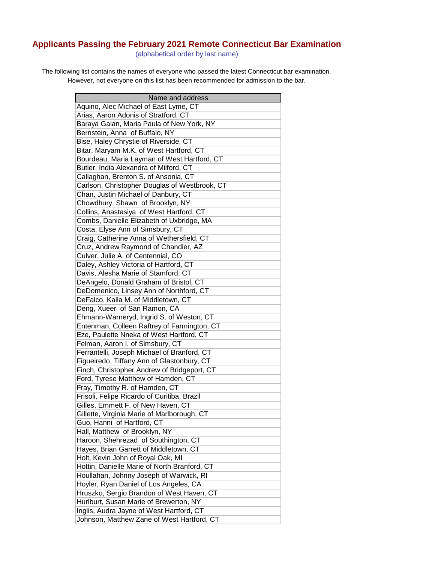## **Applicants Passing the February 2021 Remote Connecticut Bar Examination**

(alphabetical order by last name)

The following list contains the names of everyone who passed the latest Connecticut bar examination. However, not everyone on this list has been recommended for admission to the bar.

| Name and address                              |
|-----------------------------------------------|
| Aquino, Alec Michael of East Lyme, CT         |
| Arias, Aaron Adonis of Stratford, CT          |
| Baraya Galan, Maria Paula of New York, NY     |
| Bernstein, Anna of Buffalo, NY                |
| Bise, Haley Chrystie of Riverside, CT         |
| Bitar, Maryam M.K. of West Hartford, CT       |
| Bourdeau, Maria Layman of West Hartford, CT   |
| Butler, India Alexandra of Milford, CT        |
| Callaghan, Brenton S. of Ansonia, CT          |
| Carlson, Christopher Douglas of Westbrook, CT |
| Chan, Justin Michael of Danbury, CT           |
| Chowdhury, Shawn of Brooklyn, NY              |
| Collins, Anastasiya of West Hartford, CT      |
| Combs, Danielle Elizabeth of Uxbridge, MA     |
| Costa, Elyse Ann of Simsbury, CT              |
| Craig, Catherine Anna of Wethersfield, CT     |
| Cruz, Andrew Raymond of Chandler, AZ          |
| Culver, Julie A. of Centennial, CO            |
| Daley, Ashley Victoria of Hartford, CT        |
| Davis, Alesha Marie of Stamford, CT           |
| DeAngelo, Donald Graham of Bristol, CT        |
| DeDomenico, Linsey Ann of Northford, CT       |
| DeFalco, Kaila M. of Middletown, CT           |
| Deng, Xueer of San Ramon, CA                  |
| Ehmann-Warneryd, Ingrid S. of Weston, CT      |
| Entenman, Colleen Raftrey of Farmington, CT   |
| Eze, Paulette Nneka of West Hartford, CT      |
| Felman, Aaron I. of Simsbury, CT              |
| Ferrantelli, Joseph Michael of Branford, CT   |
| Figueiredo, Tiffany Ann of Glastonbury, CT    |
| Finch, Christopher Andrew of Bridgeport, CT   |
| Ford, Tyrese Matthew of Hamden, CT            |
| Fray, Timothy R. of Hamden, CT                |
| Frisoli, Felipe Ricardo of Curitiba, Brazil   |
| Gilles, Emmett F. of New Haven, CT            |
| Gillette, Virginia Marie of Marlborough, CT   |
| Guo, Hanni of Hartford, CT                    |
| Hall, Matthew of Brooklyn, NY                 |
| Haroon, Shehrezad of Southington, CT          |
| Hayes, Brian Garrett of Middletown, CT        |
| Holt, Kevin John of Royal Oak, MI             |
| Hottin, Danielle Marie of North Branford, CT  |
| Houllahan, Johnny Joseph of Warwick, RI       |
| Hoyler, Ryan Daniel of Los Angeles, CA        |
| Hruszko, Sergio Brandon of West Haven, CT     |
| Hurlburt, Susan Marie of Brewerton, NY        |
| Inglis, Audra Jayne of West Hartford, CT      |
| Johnson, Matthew Zane of West Hartford, CT    |